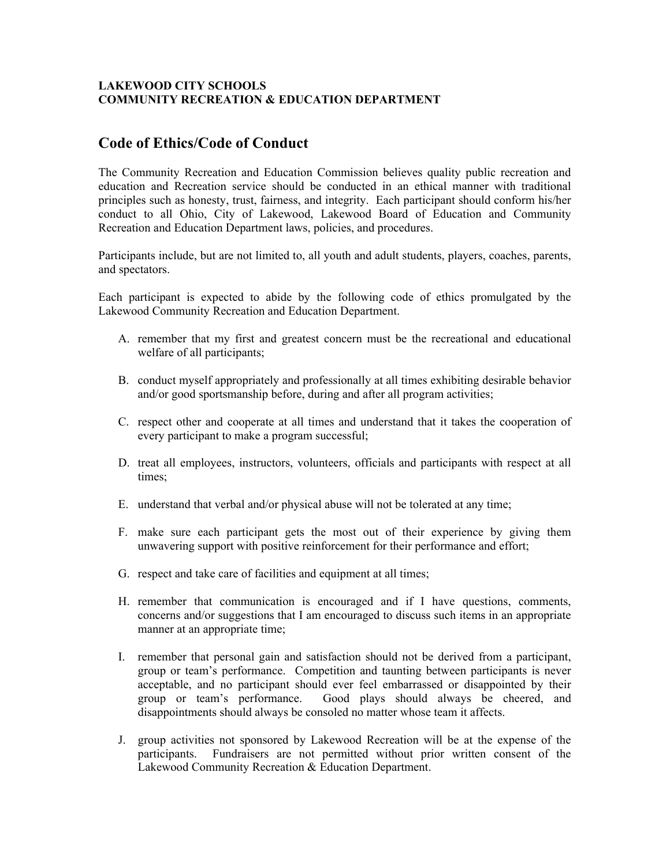## **LAKEWOOD CITY SCHOOLS COMMUNITY RECREATION & EDUCATION DEPARTMENT**

## **Code of Ethics/Code of Conduct**

The Community Recreation and Education Commission believes quality public recreation and education and Recreation service should be conducted in an ethical manner with traditional principles such as honesty, trust, fairness, and integrity. Each participant should conform his/her conduct to all Ohio, City of Lakewood, Lakewood Board of Education and Community Recreation and Education Department laws, policies, and procedures.

Participants include, but are not limited to, all youth and adult students, players, coaches, parents, and spectators.

Each participant is expected to abide by the following code of ethics promulgated by the Lakewood Community Recreation and Education Department.

- A. remember that my first and greatest concern must be the recreational and educational welfare of all participants;
- B. conduct myself appropriately and professionally at all times exhibiting desirable behavior and/or good sportsmanship before, during and after all program activities;
- C. respect other and cooperate at all times and understand that it takes the cooperation of every participant to make a program successful;
- D. treat all employees, instructors, volunteers, officials and participants with respect at all times;
- E. understand that verbal and/or physical abuse will not be tolerated at any time;
- F. make sure each participant gets the most out of their experience by giving them unwavering support with positive reinforcement for their performance and effort;
- G. respect and take care of facilities and equipment at all times;
- H. remember that communication is encouraged and if I have questions, comments, concerns and/or suggestions that I am encouraged to discuss such items in an appropriate manner at an appropriate time;
- I. remember that personal gain and satisfaction should not be derived from a participant, group or team's performance. Competition and taunting between participants is never acceptable, and no participant should ever feel embarrassed or disappointed by their group or team's performance. Good plays should always be cheered, and Good plays should always be cheered, and disappointments should always be consoled no matter whose team it affects.
- J. group activities not sponsored by Lakewood Recreation will be at the expense of the participants. Fundraisers are not permitted without prior written consent of the Lakewood Community Recreation & Education Department.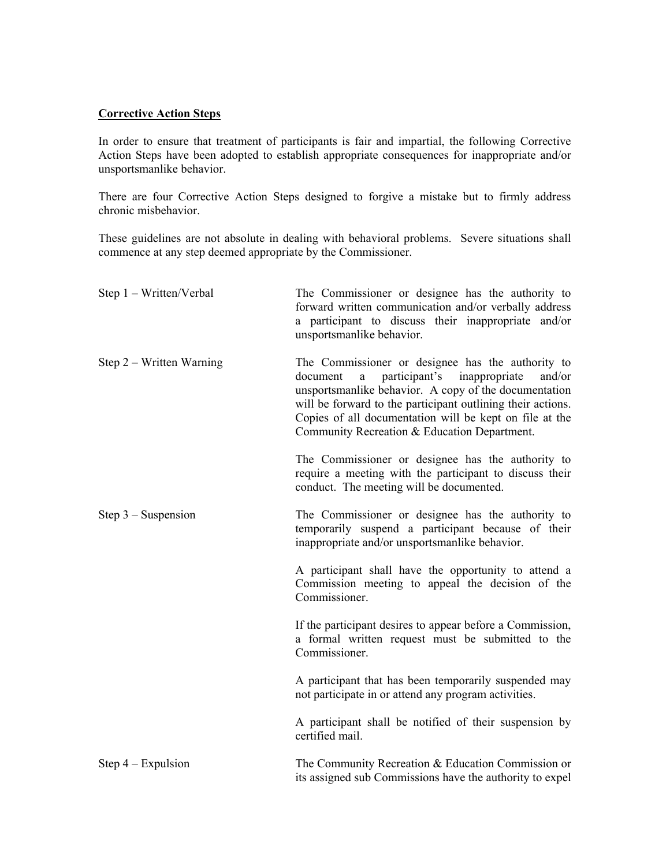## **Corrective Action Steps**

In order to ensure that treatment of participants is fair and impartial, the following Corrective Action Steps have been adopted to establish appropriate consequences for inappropriate and/or unsportsmanlike behavior.

There are four Corrective Action Steps designed to forgive a mistake but to firmly address chronic misbehavior.

These guidelines are not absolute in dealing with behavioral problems. Severe situations shall commence at any step deemed appropriate by the Commissioner.

| Step 1 – Written/Verbal    | The Commissioner or designee has the authority to<br>forward written communication and/or verbally address<br>a participant to discuss their inappropriate and/or<br>unsportsmanlike behavior.                                                                                                                                              |
|----------------------------|---------------------------------------------------------------------------------------------------------------------------------------------------------------------------------------------------------------------------------------------------------------------------------------------------------------------------------------------|
| Step $2$ – Written Warning | The Commissioner or designee has the authority to<br>a participant's inappropriate<br>and/or<br>document<br>unsportsmanlike behavior. A copy of the documentation<br>will be forward to the participant outlining their actions.<br>Copies of all documentation will be kept on file at the<br>Community Recreation & Education Department. |
|                            | The Commissioner or designee has the authority to<br>require a meeting with the participant to discuss their<br>conduct. The meeting will be documented.                                                                                                                                                                                    |
| Step $3$ – Suspension      | The Commissioner or designee has the authority to<br>temporarily suspend a participant because of their<br>inappropriate and/or unsportsmanlike behavior.                                                                                                                                                                                   |
|                            | A participant shall have the opportunity to attend a<br>Commission meeting to appeal the decision of the<br>Commissioner.                                                                                                                                                                                                                   |
|                            | If the participant desires to appear before a Commission,<br>a formal written request must be submitted to the<br>Commissioner.                                                                                                                                                                                                             |
|                            | A participant that has been temporarily suspended may<br>not participate in or attend any program activities.                                                                                                                                                                                                                               |
|                            | A participant shall be notified of their suspension by<br>certified mail.                                                                                                                                                                                                                                                                   |
| Step $4 -$ Expulsion       | The Community Recreation & Education Commission or<br>its assigned sub Commissions have the authority to expel                                                                                                                                                                                                                              |